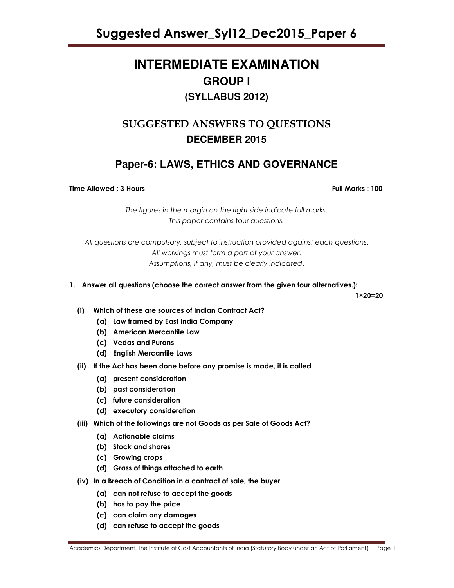Suggested Answer\_Syl12\_Dec2015\_Paper 6

# **INTERMEDIATE EXAMINATION GROUP I (SYLLABUS 2012)**

# SUGGESTED ANSWERS TO QUESTIONS **DECEMBER 2015**

# **Paper-6: LAWS, ETHICS AND GOVERNANCE**

Time Allowed : 3 Hours Full Marks : 100

The figures in the margin on the right side indicate full marks. This paper contains four questions.

All questions are compulsory, subject to instruction provided against each questions. All workings must form a part of your answer. Assumptions, if any, must be clearly indicated.

1. Answer all questions (choose the correct answer from the given four alternatives.):

 $1\times 20 = 20$ 

- (i) Which of these are sources of Indian Contract Act?
	- (a) Law framed by East India Company
	- (b) American Mercantile Law
	- (c) Vedas and Purans
	- (d) English Mercantile Laws
- (ii) If the Act has been done before any promise is made, it is called
	- (a) present consideration
	- (b) past consideration
	- (c) future consideration
	- (d) executory consideration
- (iii) Which of the followings are not Goods as per Sale of Goods Act?
	- (a) Actionable claims
	- (b) Stock and shares
	- (c) Growing crops
	- (d) Grass of things attached to earth
- (iv) In a Breach of Condition in a contract of sale, the buyer
	- (a) can not refuse to accept the goods
	- (b) has to pay the price
	- (c) can claim any damages
	- (d) can refuse to accept the goods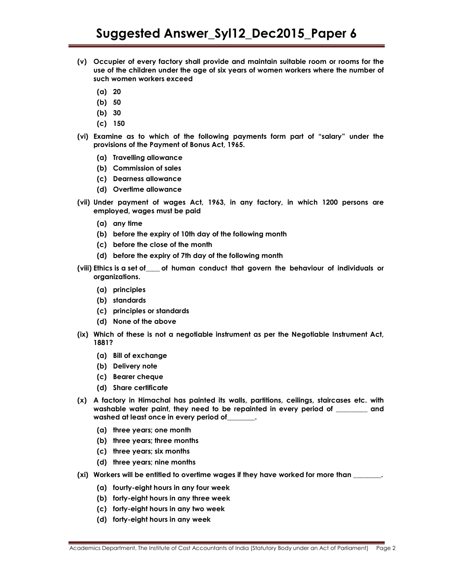- (v) Occupier of every factory shall provide and maintain suitable room or rooms for the use of the children under the age of six years of women workers where the number of such women workers exceed
	- (a) 20
	- (b) 50
	- (b) 30
	- (c) 150
- (vi) Examine as to which of the following payments form part of "salary" under the provisions of the Payment of Bonus Act, 1965.
	- (a) Travelling allowance
	- (b) Commission of sales
	- (c) Dearness allowance
	- (d) Overtime allowance
- (vii) Under payment of wages Act, 1963, in any factory, in which 1200 persons are employed, wages must be paid
	- (a) any time
	- (b) before the expiry of 10th day of the following month
	- (c) before the close of the month
	- (d) before the expiry of 7th day of the following month
- (viii) Ethics is a set of \_\_\_\_ of human conduct that govern the behaviour of individuals or organizations.
	- (a) principles
	- (b) standards
	- (c) principles or standards
	- (d) None of the above
- (ix) Which of these is not a negotiable instrument as per the Negotiable Instrument Act, 1881?
	- (a) Bill of exchange
	- (b) Delivery note
	- (c) Bearer cheque
	- (d) Share certificate
- (x) A factory in Himachal has painted its walls, partitions, ceilings, staircases etc. with washable water paint, they need to be repainted in every period of \_\_\_\_\_\_\_\_\_ and washed at least once in every period of
	- (a) three years; one month
	- (b) three years; three months
	- (c) three years; six months
	- (d) three years; nine months
- (xi) Workers will be entitled to overtime wages if they have worked for more than
	- (a) fourty-eight hours in any four week
	- (b) forty-eight hours in any three week
	- (c) forty-eight hours in any two week
	- (d) forty-eight hours in any week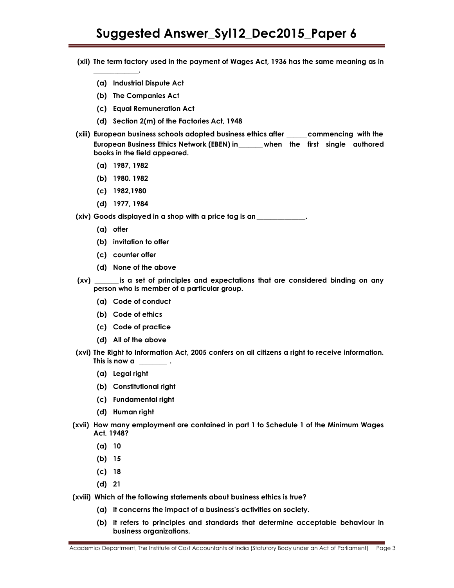# Suggested Answer\_Syl12\_Dec2015\_Paper 6

- (xii) The term factory used in the payment of Wages Act, 1936 has the same meaning as in
	- (a) Industrial Dispute Act
	- (b) The Companies Act
	- (c) Equal Remuneration Act
	- (d) Section 2(m) of the Factories Act, 1948
- (xiii) European business schools adopted business ethics after \_\_\_\_\_\_ commencing with the European Business Ethics Network (EBEN) in \_\_\_\_\_\_\_ when the first single authored books in the field appeared.
	- (a) 1987, 1982

\_\_\_\_\_\_\_\_\_\_\_\_\_.

- (b) 1980. 1982
- (c) 1982,1980
- (d) 1977, 1984

(xiv) Goods displayed in a shop with a price tag is an

- (a) offer
- (b) invitation to offer
- (c) counter offer
- (d) None of the above
- (xv) \_\_\_\_\_\_\_ is a set of principles and expectations that are considered binding on any person who is member of a particular group.
	- (a) Code of conduct
	- (b) Code of ethics
	- (c) Code of practice
	- (d) All of the above
- (xvi) The Right to Information Act, 2005 confers on all citizens a right to receive information. This is now a set  $\overline{a}$ .
	- (a) Legal right
	- (b) Constitutional right
	- (c) Fundamental right
	- (d) Human right
- (xvii) How many employment are contained in part 1 to Schedule 1 of the Minimum Wages Act, 1948?
	- (a) 10
	- (b) 15
	- (c) 18
	- (d) 21
- (xviii) Which of the following statements about business ethics is true?
	- (a) It concerns the impact of a business's activities on society.
		- (b) It refers to principles and standards that determine acceptable behaviour in business organizations.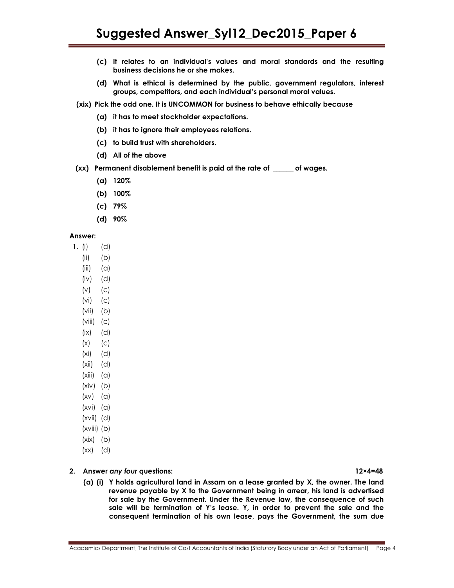- (c) It relates to an individual's values and moral standards and the resulting business decisions he or she makes.
- (d) What is ethical is determined by the public, government regulators, interest groups, competitors, and each individual's personal moral values.
- (xix) Pick the odd one. It is UNCOMMON for business to behave ethically because
	- (a) it has to meet stockholder expectations.
	- (b) it has to ignore their employees relations.
	- (c) to build trust with shareholders.
	- (d) All of the above
- (xx) Permanent disablement benefit is paid at the rate of \_\_\_\_\_\_ of wages.
	- (a) 120%
	- (b) 100%
	- (c) 79%
	- (d) 90%

## Answer:

- 1. (i) (d)
	- (ii) (b)
	- $(iii)$   $(\alpha)$
	- (iv) (d)
	- (v) (c)
	- (vi) (c)
	- (vii) (b)
	- $(viii)$   $(c)$
	- $(ix)$   $(d)$
	- $(x)$   $(c)$
	- (xi) (d)
	- (xii) (d)
	- $(xiii)$   $(a)$
	- $(xiv)$  (b)
	- $(xv)$   $(a)$
	- $(xvi)$   $(a)$
	- (xvii) (d)
	- (xviii) (b)
	- $(xix)$   $(b)$
	- (xx) (d)

## 2. Answer any four questions: 12×4=48

(a) (i) Y holds agricultural land in Assam on a lease granted by X, the owner. The land revenue payable by X to the Government being in arrear, his land is advertised for sale by the Government. Under the Revenue law, the consequence of such sale will be termination of Y's lease. Y, in order to prevent the sale and the consequent termination of his own lease, pays the Government, the sum due

Academics Department, The Institute of Cost Accountants of India (Statutory Body under an Act of Parliament) Page 4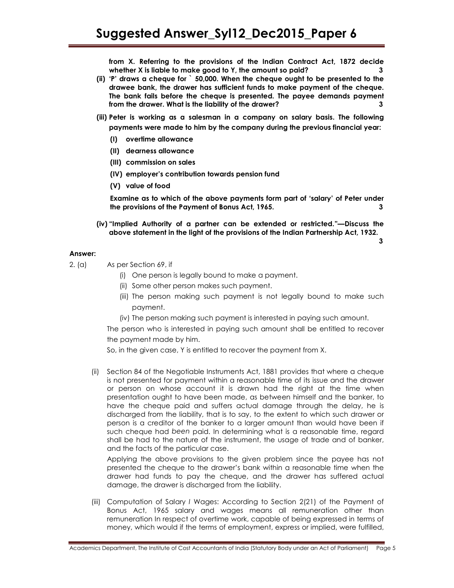from X. Referring to the provisions of the Indian Contract Act, 1872 decide whether X is liable to make good to Y, the amount so paid?

- (ii) 'P' draws a cheque for ` 50,000. When the cheque ought to be presented to the drawee bank, the drawer has sufficient funds to make payment of the cheque. The bank fails before the cheque is presented. The payee demands payment from the drawer. What is the liability of the drawer?
- (iii) Peter is working as a salesman in a company on salary basis. The following payments were made to him by the company during the previous financial year:
	- (I) overtime allowance
	- (II) dearness allowance
	- (III) commission on sales
	- (IV) employer's contribution towards pension fund
	- (V) value of food

Examine as to which of the above payments form part of 'salary' of Peter under the provisions of the Payment of Bonus Act, 1965. 3

 (iv) "Implied Authority of a partner can be extended or restricted."—Discuss the above statement in the light of the provisions of the Indian Partnership Act, 1932.

3

# Answer:

- 2. (a) As per Section 69, if
	- (i) One person is legally bound to make a payment.
	- (ii) Some other person makes such payment.
	- (iii) The person making such payment is not legally bound to make such payment.
	- (iv) The person making such payment is interested in paying such amount.

The person who is interested in paying such amount shall be entitled to recover the payment made by him.

So, in the given case, Y is entitled to recover the payment from X.

 (ii) Section 84 of the Negotiable Instruments Act, 1881 provides that where a cheque is not presented for payment within a reasonable time of its issue and the drawer or person on whose account it is drawn had the right at the time when presentation ought to have been made, as between himself and the banker, to have the cheque paid and suffers actual damage through the delay, he is discharged from the liability, that is to say, to the extent to which such drawer or person is a creditor of the banker to a larger amount than would have been if such cheque had been paid. In determining what is a reasonable time, regard shall be had to the nature of the instrument, the usage of trade and of banker, and the facts of the particular case.

 Applying the above provisions to the given problem since the payee has not presented the cheque to the drawer's bank within a reasonable time when the drawer had funds to pay the cheque, and the drawer has suffered actual damage, the drawer is discharged from the liability.

 (iii) Computation of Salary I Wages: According to Section 2(21) of the Payment of Bonus Act, 1965 salary and wages means all remuneration other than remuneration In respect of overtime work, capable of being expressed in terms of money, which would if the terms of employment, express or implied, were fulfilled,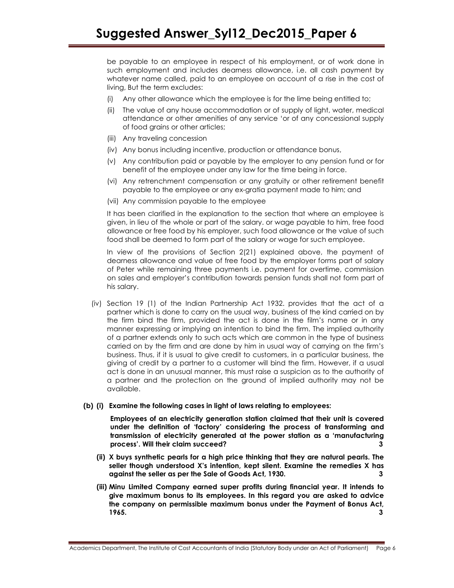be payable to an employee in respect of his employment, or of work done in such employment and includes dearness allowance, i.e. all cash payment by whatever name called, paid to an employee on account of a rise in the cost of living, But the term excludes:

- (i) Any other allowance which the employee is for the lime being entitled to;
- (ii) The value of any house accommodation or of supply of light, water, medical attendance or other amenities of any service 'or of any concessional supply of food grains or other articles;
- (iii) Any traveling concession
- (iv) Any bonus including incentive, production or attendance bonus,
- (v) Any contribution paid or payable by the employer to any pension fund or for benefit of the employee under any law for the time being in force.
- (vi) Any retrenchment compensation or any gratuity or other retirement benefit payable to the employee or any ex-gratia payment made to him; and
- (vii) Any commission payable to the employee

It has been clarified in the explanation to the section that where an employee is given, in lieu of the whole or part of the salary. or wage payable to him, free food allowance or free food by his employer, such food allowance or the value of such food shall be deemed to form part of the salary or wage for such employee.

In view of the provisions of Section 2(21) explained above, the payment of dearness allowance and value of free food by the employer forms part of salary of Peter while remaining three payments i.e. payment for overtime, commission on sales and employer's contribution towards pension funds shall not form part of his salary.

- (iv) Section 19 (1) of the Indian Partnership Act 1932. provides that the act of a partner which is done to carry on the usual way, business of the kind carried on by the firm bind the firm, provided the act is done in the film's name or in any manner expressing or implying an intention to bind the firm. The implied authority of a partner extends only to such acts which are common in the type of business carried on by the firm and are done by him in usual way of carrying on the firm's business. Thus, if it is usual to give credit to customers, in a particular business, the giving of credit by a partner to a customer will bind the firm. However, if a usual act is done in an unusual manner, this must raise a suspicion as to the authority of a partner and the protection on the ground of implied authority may not be available.
- (b) (i) Examine the following cases in light of laws relating to employees:

Employees of an electricity generation station claimed that their unit is covered under the definition of 'factory' considering the process of transforming and transmission of electricity generated at the power station as a 'manufacturing process'. Will their claim succeed? 3

- (ii) X buys synthetic pearls for a high price thinking that they are natural pearls. The seller though understood X's intention, kept silent. Examine the remedies X has against the seller as per the Sale of Goods Act, 1930. 3
- (iii) Minu Limited Company earned super profits during financial year. It intends to give maximum bonus to its employees. In this regard you are asked to advice the company on permissible maximum bonus under the Payment of Bonus Act, **1965.**  $\qquad \qquad \qquad$  3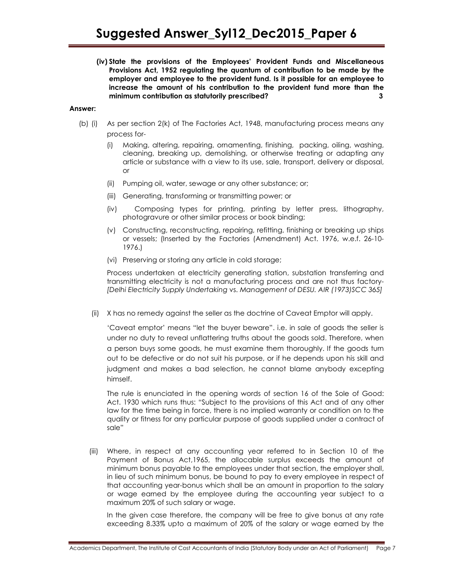(iv) State the provisions of the Employees' Provident Funds and Miscellaneous Provisions Act, 1952 regulating the quantum of contribution to be made by the employer and employee to the provident fund. Is it possible for an employee to increase the amount of his contribution to the provident fund more than the minimum contribution as statutorily prescribed? 3

## Answer:

- (b) (i) As per section 2(k) of The Factories Act, 1948, manufacturing process means any process for-
	- (i) Making, altering, repairing, ornamenting, finishing, packing, oiling, washing, cleaning, breaking up, demolishing, or otherwise treating or adapting any article or substance with a view to its use, sale, transport, delivery or disposal, or
	- (ii) Pumping oil, water, sewage or any other substance; or;
	- (iii) Generating, transforming or transmitting power; or
	- (iv) Composing types for printing, printing by letter press, lithography, photogravure or other similar process or book binding;
	- (v) Constructing, reconstructing, repairing, refitting, finishing or breaking up ships or vessels; (Inserted by the Factories (Amendment) Act. 1976, w.e.f. 26-10- 1976.)
	- (vi) Preserving or storing any article in cold storage;

Process undertaken at electricity generating station, substation transferring and transmitting electricity is not a manufacturing process and are not thus factory- [Delhi Electricity Supply Undertaking vs. Management of DESU. AIR (1973)SCC 365]

(ii) X has no remedy against the seller as the doctrine of Caveat Emptor will apply.

 'Caveat emptor' means "let the buyer beware". i.e. in sale of goods the seller is under no duty to reveal unflattering truths about the goods sold. Therefore, when a person buys some goods, he must examine them thoroughly. If the goods turn out to be defective or do not suit his purpose, or if he depends upon his skill and judgment and makes a bad selection, he cannot blame anybody excepting himself.

 The rule is enunciated in the opening words of section 16 of the Sole of Good: Act. 1930 which runs thus: "Subject to the provisions of this Act and of any other law for the time being in force, there is no implied warranty or condition on to the quality or fitness for any particular purpose of goods supplied under a contract of sale"

(iii) Where, in respect at any accounting year referred to in Section 10 of the Payment of Bonus Act,1965, the allocable surplus exceeds the amount of minimum bonus payable to the employees under that section, the employer shall, in lieu of such minimum bonus, be bound to pay to every employee in respect of that accounting year-bonus which shall be an amount in proportion to the salary or wage earned by the employee during the accounting year subject to a maximum 20% of such salary or wage.

In the given case therefore, the company will be free to give bonus at any rate exceeding 8.33% upto a maximum of 20% of the salary or wage earned by the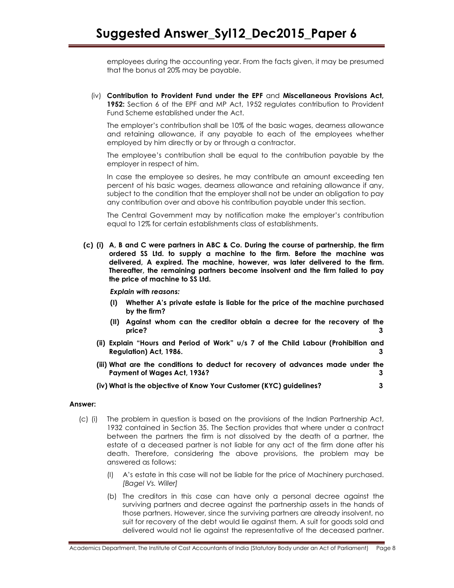employees during the accounting year. From the facts given, it may be presumed that the bonus at 20% may be payable.

 (iv) Contribution to Provident Fund under the EPF and Miscellaneous Provisions Act, 1952: Section 6 of the EPF and MP Act, 1952 regulates contribution to Provident Fund Scheme established under the Act.

The employer's contribution shall be 10% of the basic wages, dearness allowance and retaining allowance, if any payable to each of the employees whether employed by him directly or by or through a contractor.

The employee's contribution shall be equal to the contribution payable by the employer in respect of him.

In case the employee so desires, he may contribute an amount exceeding ten percent of his basic wages, dearness allowance and retaining allowance if any, subject to the condition that the employer shall not be under an obligation to pay any contribution over and above his contribution payable under this section.

The Central Government may by notification make the employer's contribution equal to 12% for certain establishments class of establishments.

(c) (i) A, B and C were partners in ABC & Co. During the course of partnership, the firm ordered SS Ltd. to supply a machine to the firm. Before the machine was delivered, A expired. The machine, however, was later delivered to the firm. Thereafter, the remaining partners become insolvent and the firm failed to pay the price of machine to SS Ltd.

Explain with reasons:

- (I) Whether A's private estate is liable for the price of the machine purchased by the firm?
- (II) Against whom can the creditor obtain a decree for the recovery of the price? 3
- (ii) Explain "Hours and Period of Work" u/s 7 of the Child Labour (Prohibition and Regulation) Act, 1986.
- (iii) What are the conditions to deduct for recovery of advances made under the Payment of Wages Act, 1936? 3
- (iv) What is the objective of Know Your Customer (KYC) guidelines? 3

# Answer:

- (c) (i) The problem in question is based on the provisions of the Indian Partnership Act, 1932 contained in Section 35. The Section provides that where under a contract between the partners the firm is not dissolved by the death of a partner, the estate of a deceased partner is not liable for any act of the firm done after his death. Therefore, considering the above provisions, the problem may be answered as follows:
	- (I) A's estate in this case will not be liable for the price of Machinery purchased. [Bagel Vs. Willer]
	- (b) The creditors in this case can have only a personal decree against the surviving partners and decree against the partnership assets in the hands of those partners. However, since the surviving partners are already insolvent, no suit for recovery of the debt would lie against them. A suit for goods sold and delivered would not lie against the representative of the deceased partner.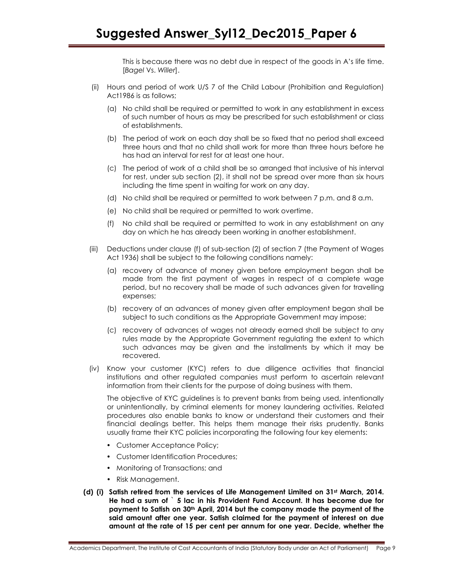This is because there was no debt due in respect of the goods in A's life time. [Bagel Vs. Willer].

- (ii) Hours and period of work U/S 7 of the Child Labour (Prohibition and Regulation) Act1986 is as follows;
	- (a) No child shall be required or permitted to work in any establishment in excess of such number of hours as may be prescribed for such establishment or class of establishments.
	- (b) The period of work on each day shall be so fixed that no period shall exceed three hours and that no child shall work for more than three hours before he has had an interval for rest for at least one hour.
	- (c) The period of work of a child shall be so arranged that inclusive of his interval for rest, under sub section (2), it shall not be spread over more than six hours including the time spent in waiting for work on any day.
	- (d) No child shall be required or permitted to work between 7 p.m. and 8 a.m.
	- (e) No child shall be required or permitted to work overtime.
	- (f) No child shall be required or permitted to work in any establishment on any day on which he has already been working in another establishment.
- (iii) Deductions under clause (f) of sub-section (2) of section 7 (the Payment of Wages Act 1936) shall be subject to the following conditions namely:
	- (a) recovery of advance of money given before employment began shall be made from the first payment of wages in respect of a complete wage period, but no recovery shall be made of such advances given for travelling expenses;
	- (b) recovery of an advances of money given after employment began shall be subject to such conditions as the Appropriate Government may impose;
	- (c) recovery of advances of wages not already earned shall be subject to any rules made by the Appropriate Government regulating the extent to which such advances may be given and the installments by which it may be recovered.
- (iv) Know your customer (KYC) refers to due diligence activities that financial institutions and other regulated companies must perform to ascertain relevant information from their clients for the purpose of doing business with them.

The objective of KYC guidelines is to prevent banks from being used, intentionally or unintentionally, by criminal elements for money laundering activities. Related procedures also enable banks to know or understand their customers and their financial dealings better. This helps them manage their risks prudently. Banks usually frame their KYC policies incorporating the following four key elements:

- Customer Acceptance Policy;
- Customer Identification Procedures;
- Monitoring of Transactions; and
- Risk Management.
- (d) (i) Satish retired from the services of Life Management Limited on 31st March, 2014. He had a sum of ` 5 lac in his Provident Fund Account. It has become due for payment to Satish on 30th April, 2014 but the company made the payment of the said amount after one year. Satish claimed for the payment of interest on due amount at the rate of 15 per cent per annum for one year. Decide, whether the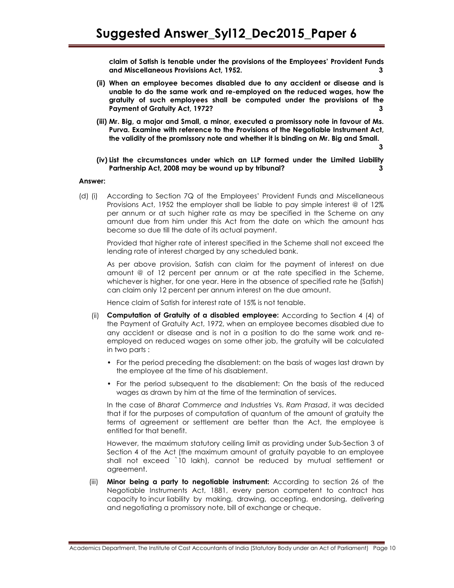claim of Satish is tenable under the provisions of the Employees' Provident Funds and Miscellaneous Provisions Act, 1952. 3

- (ii) When an employee becomes disabled due to any accident or disease and is unable to do the same work and re-employed on the reduced wages, how the gratuity of such employees shall be computed under the provisions of the Payment of Gratuity Act, 1972?
- (iii) Mr. Big, a major and Small, a minor, executed a promissory note in favour of Ms. Purva. Examine with reference to the Provisions of the Negotiable Instrument Act, the validity of the promissory note and whether it is binding on Mr. Big and Small.

3

 (iv) List the circumstances under which an LLP formed under the Limited Liability Partnership Act, 2008 may be wound up by tribunal? 3

### Answer:

(d) (i) According to Section 7Q of the Employees' Provident Funds and Miscellaneous Provisions Act, 1952 the employer shall be liable to pay simple interest @ of 12% per annum or at such higher rate as may be specified in the Scheme on any amount due from him under this Act from the date on which the amount has become so due till the date of its actual payment.

 Provided that higher rate of interest specified in the Scheme shall not exceed the lending rate of interest charged by any scheduled bank.

 As per above provision, Satish can claim for the payment of interest on due amount @ of 12 percent per annum or at the rate specified in the Scheme, whichever is higher, for one year. Here in the absence of specified rate he (Satish) can claim only 12 percent per annum interest on the due amount.

Hence claim of Satish for interest rate of 15% is not tenable.

- (ii) Computation of Gratuity of a disabled employee: According to Section 4 (4) of the Payment of Gratuity Act, 1972, when an employee becomes disabled due to any accident or disease and is not in a position to do the same work and reemployed on reduced wages on some other job, the gratuity will be calculated in two parts :
	- For the period preceding the disablement: on the basis of wages last drawn by the employee at the time of his disablement.
	- For the period subsequent to the disablement: On the basis of the reduced wages as drawn by him at the time of the termination of services.

In the case of Bharat Commerce and Industries Vs. Ram Prasad, it was decided that if for the purposes of computation of quantum of the amount of gratuity the terms of agreement or settlement are better than the Act, the employee is entitled for that benefit.

However, the maximum statutory ceiling limit as providing under Sub-Section 3 of Section 4 of the Act (the maximum amount of gratuity payable to an employee shall not exceed `10 lakh), cannot be reduced by mutual settlement or agreement.

(iii) **Minor being a party to negotiable instrument:** According to section 26 of the Negotiable Instruments Act, 1881, every person competent to contract has capacity to incur liability by making, drawing, accepting, endorsing, delivering and negotiating a promissory note, bill of exchange or cheque.

Academics Department, The Institute of Cost Accountants of India (Statutory Body under an Act of Parliament) Page 10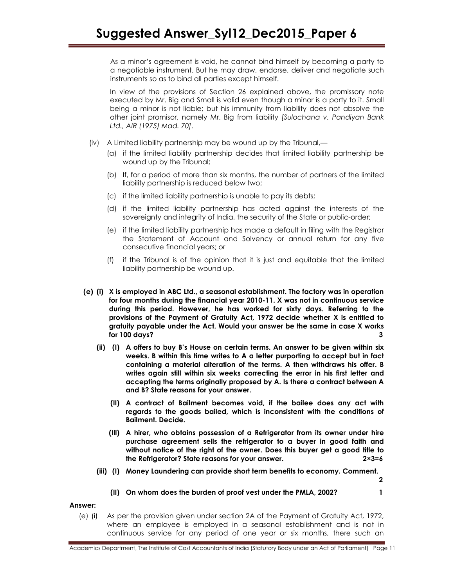As a minor's agreement is void, he cannot bind himself by becoming a party to a negotiable instrument. But he may draw, endorse, deliver and negotiate such instruments so as to bind all parties except himself.

In view of the provisions of Section 26 explained above, the promissory note executed by Mr. Big and Small is valid even though a minor is a party to it. Small being a minor is not liable; but his immunity from liability does not absolve the other joint promisor, namely Mr. Big from liability [Sulochana v. Pandiyan Bank Ltd., AIR (1975) Mad. 70].

- (iv) A Limited liability partnership may be wound up by the Tribunal,—
	- (a) if the limited liability partnership decides that limited liability partnership be wound up by the Tribunal;
	- (b) If, for a period of more than six months, the number of partners of the limited liability partnership is reduced below two;
	- (c) if the limited liability partnership is unable to pay its debts;
	- (d) if the limited liability partnership has acted against the interests of the sovereignty and integrity of India, the security of the State or public-order;
	- (e) if the limited liability partnership has made a default in filing with the Registrar the Statement of Account and Solvency or annual return for any five consecutive financial years; or
	- (f) if the Tribunal is of the opinion that it is just and equitable that the limited liability partnership be wound up.
- (e) (i) X is employed in ABC Ltd., a seasonal establishment. The factory was in operation for four months during the financial year 2010-11. X was not in continuous service during this period. However, he has worked for sixty days. Referring to the provisions of the Payment of Gratuity Act, 1972 decide whether X is entitled to gratuity payable under the Act. Would your answer be the same in case X works for 100 days? 3
	- (ii) (I) A offers to buy B's House on certain terms. An answer to be given within six weeks. B within this time writes to A a letter purporting to accept but in fact containing a material alteration of the terms. A then withdraws his offer. B writes again still within six weeks correcting the error in his first letter and accepting the terms originally proposed by A. Is there a contract between A and B? State reasons for your answer.
		- (II) A contract of Bailment becomes void, if the bailee does any act with regards to the goods bailed, which is inconsistent with the conditions of Bailment. Decide.
		- (Ill) A hirer, who obtains possession of a Refrigerator from its owner under hire purchase agreement sells the refrigerator to a buyer in good faith and without notice of the right of the owner. Does this buyer get a good title to the Refrigerator? State reasons for your answer. 2×3=6
	- (iii) (I) Money Laundering can provide short term benefits to economy. Comment.

2

# (II) On whom does the burden of proof vest under the PMLA, 2002? 1

Answer:

(e) (i) As per the provision given under section 2A of the Payment of Gratuity Act, 1972, where an employee is employed in a seasonal establishment and is not in continuous service for any period of one year or six months, there such an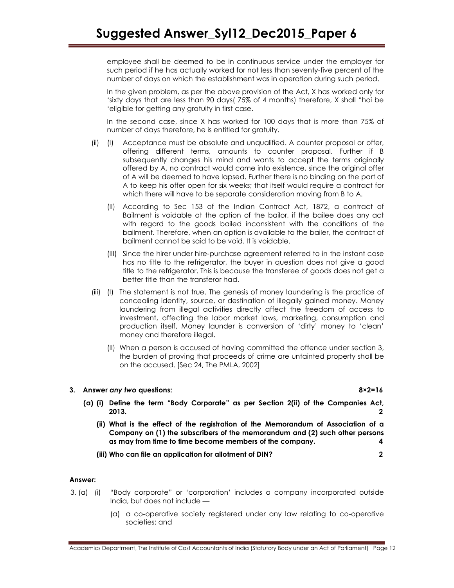employee shall be deemed to be in continuous service under the employer for such period if he has actually worked for not less than seventy-five percent of the number of days on which the establishment was in operation during such period.

In the given problem, as per the above provision of the Act, X has worked only for 'sixty days that are less than 90 days( 75% of 4 months) therefore, X shall "hoi be 'eligible for getting any gratuity in first case.

In the second case, since X has worked for 100 days that is more than 75% of number of days therefore, he is entitled for gratuity.

- (ii) (I) Acceptance must be absolute and unqualified. A counter proposal or offer, offering different terms, amounts to counter proposal. Further if B subsequently changes his mind and wants to accept the terms originally offered by A, no contract would come into existence, since the original offer of A will be deemed to have lapsed. Further there is no binding on the part of A to keep his offer open for six weeks; that itself would require a contract for which there will have to be separate consideration moving from B to A.
	- (II) According to Sec 153 of the Indian Contract Act, 1872, a contract of Bailment is voidable at the option of the bailor, if the bailee does any act with regard to the goods bailed inconsistent with the conditions of the bailment. Therefore, when an option is available to the bailer, the contract of bailment cannot be said to be void. It is voidable.
	- (III) Since the hirer under hire-purchase agreement referred to in the instant case has no title to the refrigerator, the buyer in question does not give a good title to the refrigerator. This is because the transferee of goods does not get a better title than the transferor had.
- (iii) (I) The statement is not true. The genesis of money laundering is the practice of concealing identity, source, or destination of illegally gained money. Money laundering from illegal activities directly affect the freedom of access to investment, affecting the labor market laws, marketing, consumption and production itself, Money launder is conversion of 'dirty' money to 'clean' money and therefore illegal.
	- (II) When a person is accused of having committed the offence under section 3, the burden of proving that proceeds of crime are untainted property shall be on the accused. [Sec 24, The PMLA, 2002]

# 3. Answer any two questions: 8×2=16

- (a) (i) Define the term "Body Corporate" as per Section 2(ii) of the Companies Act, 2013.  $\qquad \qquad \qquad$ 
	- (ii) What is the effect of the registration of the Memorandum of Association of a Company on (1) the subscribers of the memorandum and (2) such other persons as may from time to time become members of the company. 4
	- (iii) Who can file an application for allotment of DIN? 2

# Answer:

- 3. (a) (i) "Body corporate" or 'corporation' includes a company incorporated outside India, but does not include —
	- (a) a co-operative society registered under any law relating to co-operative societies; and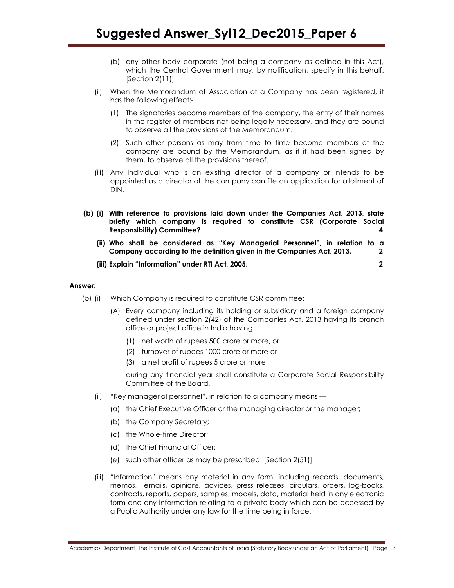- (b) any other body corporate (not being a company as defined in this Act), which the Central Government may, by notification, specify in this behalf. [Section 2(11)]
- (ii) When the Memorandum of Association of a Company has been registered, it has the following effect:-
	- (1) The signatories become members of the company, the entry of their names in the register of members not being legally necessary, and they are bound to observe all the provisions of the Memorandum.
	- (2) Such other persons as may from time to time become members of the company are bound by the Memorandum, as if it had been signed by them, to observe all the provisions thereof.
- (iii) Any individual who is an existing director of a company or intends to be appointed as a director of the company can file an application for allotment of DIN.
- (b) (i) With reference to provisions laid down under the Companies Act, 2013, state briefly which company is required to constitute CSR (Corporate Social Responsibility) Committee? 4
	- (ii) Who shall be considered as "Key Managerial Personnel", in relation to a Company according to the definition given in the Companies Act, 2013. 2
	- (iii) Explain "Information" under RTI Act, 2005. 2

## Answer:

- (b) (i) Which Company is required to constitute CSR committee:
	- (A) Every company including its holding or subsidiary and a foreign company defined under section 2(42) of the Companies Act, 2013 having its branch office or project office in India having
		- (1) net worth of rupees 500 crore or more, or
		- (2) turnover of rupees 1000 crore or more or
		- (3) a net profit of rupees 5 crore or more

during any financial year shall constitute a Corporate Social Responsibility Committee of the Board.

- (ii) "Key managerial personnel", in relation to a company means
	- (a) the Chief Executive Officer or the managing director or the manager;
	- (b) the Company Secretary;
	- (c) the Whole-time Director;
	- (d) the Chief Financial Officer;
	- (e) such other officer as may be prescribed. [Section 2(51)]
- (iii) "Information" means any material in any form, including records, documents, memos, emails, opinions, advices, press releases, circulars, orders, log-books, contracts, reports, papers, samples, models, data, material held in any electronic form and any information relating to a private body which can be accessed by a Public Authority under any law for the time being in force.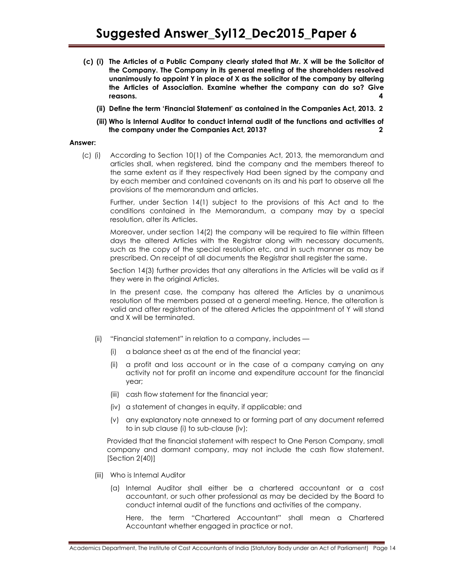- (c) (i) The Articles of a Public Company clearly stated that Mr. X will be the Solicitor of the Company. The Company in its general meeting of the shareholders resolved unanimously to appoint Y in place of X as the solicitor of the company by altering the Articles of Association. Examine whether the company can do so? Give reasons. 4
	- (ii) Define the term 'Financial Statement' as contained in the Companies Act, 2013. 2
	- (iii) Who is Internal Auditor to conduct internal audit of the functions and activities of the company under the Companies Act, 2013? 2

## Answer:

 (c) (i) According to Section 10(1) of the Companies Act, 2013, the memorandum and articles shall, when registered, bind the company and the members thereof to the same extent as if they respectively Had been signed by the company and by each member and contained covenants on its and his part to observe all the provisions of the memorandum and articles.

 Further, under Section 14(1) subject to the provisions of this Act and to the conditions contained in the Memorandum, a company may by a special resolution, alter its Articles.

 Moreover, under section 14(2) the company will be required to file within fifteen days the altered Articles with the Registrar along with necessary documents, such as the copy of the special resolution etc, and in such manner as may be prescribed. On receipt of all documents the Registrar shall register the same.

 Section 14(3) further provides that any alterations in the Articles will be valid as if they were in the original Articles.

 In the present case, the company has altered the Articles by a unanimous resolution of the members passed at a general meeting. Hence, the alteration is valid and after registration of the altered Articles the appointment of Y will stand and X will be terminated.

- (ii) "Financial statement" in relation to a company, includes
	- (i) a balance sheet as at the end of the financial year;
	- (ii) a profit and loss account or in the case of a company carrying on any activity not for profit an income and expenditure account for the financial year;
	- (iii) cash flow statement for the financial year;
	- (iv) a statement of changes in equity, if applicable; and
	- (v) any explanatory note annexed to or forming part of any document referred to in sub clause (i) to sub-clause (iv);

Provided that the financial statement with respect to One Person Company, small company and dormant company, may not include the cash flow statement. [Section 2(40)]

- (iii) Who is Internal Auditor
	- (a) Internal Auditor shall either be a chartered accountant or a cost accountant, or such other professional as may be decided by the Board to conduct internal audit of the functions and activities of the company.

Here, the term "Chartered Accountant" shall mean a Chartered Accountant whether engaged in practice or not.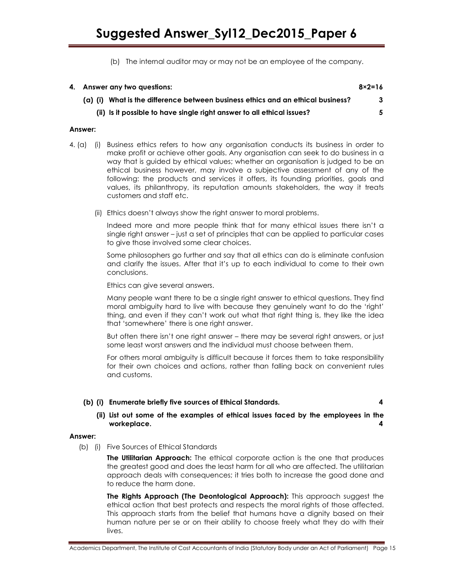(b) The internal auditor may or may not be an employee of the company.

| 4. Answer any two questions: |                                                                                 | $8 \times 2 = 16$ |
|------------------------------|---------------------------------------------------------------------------------|-------------------|
|                              | (a) (i) What is the difference between business ethics and an ethical business? | 3                 |
|                              | (ii) Is it possible to have single right answer to all ethical issues?          | 5.                |

# Answer:

- 4. (a) (i) Business ethics refers to how any organisation conducts its business in order to make profit or achieve other goals. Any organisation can seek to do business in a way that is guided by ethical values; whether an organisation is judged to be an ethical business however, may involve a subjective assessment of any of the following: the products and services it offers, its founding priorities, goals and values, its philanthropy, its reputation amounts stakeholders, the way it treats customers and staff etc.
	- (ii) Ethics doesn't always show the right answer to moral problems.

Indeed more and more people think that for many ethical issues there isn't a single right answer – just a set of principles that can be applied to particular cases to give those involved some clear choices.

Some philosophers go further and say that all ethics can do is eliminate confusion and clarify the issues. After that it's up to each individual to come to their own conclusions.

Ethics can give several answers.

Many people want there to be a single right answer to ethical questions. They find moral ambiguity hard to live with because they genuinely want to do the 'right' thing, and even if they can't work out what that right thing is, they like the idea that 'somewhere' there is one right answer.

But often there isn't one right answer – there may be several right answers, or just some least worst answers and the individual must choose between them.

For others moral ambiguity is difficult because it forces them to take responsibility for their own choices and actions, rather than falling back on convenient rules and customs.

# (b) (i) Enumerate briefly five sources of Ethical Standards. 4

# (ii) List out some of the examples of ethical issues faced by the employees in the workeplace. 4

## Answer:

(b) (i) Five Sources of Ethical Standards

The Utilitarian Approach: The ethical corporate action is the one that produces the greatest good and does the least harm for all who are affected. The utilitarian approach deals with consequences; it tries both to increase the good done and to reduce the harm done.

The Rights Approach (The Deontological Approach): This approach suggest the ethical action that best protects and respects the moral rights of those affected. This approach starts from the belief that humans have a dignity based on their human nature per se or on their ability to choose freely what they do with their lives.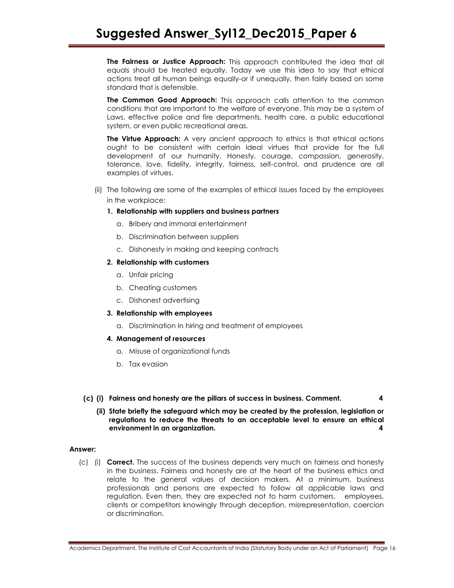The Fairness or Justice Approach: This approach contributed the idea that all equals should be treated equally. Today we use this idea to say that ethical actions treat all human beings equally-or if unequally, then fairly based on some standard that is defensible.

The Common Good Approach: This approach calls attention to the common conditions that are important to the welfare of everyone. This may be a system of Laws, effective police and fire departments, health care, a public educational system, or even public recreational areas.

**The Virtue Approach:** A very ancient approach to ethics is that ethical actions ought to be consistent with certain Ideal virtues that provide for the full development of our humanity. Honesty, courage, compassion, generosity, tolerance, love, fidelity, integrity, fairness, self-control, and prudence are all examples of virtues.

 (ii) The following are some of the examples of ethical issues faced by the employees in the workplace:

# 1. Relationship with suppliers and business partners

- a. Bribery and immoral entertainment
- b. Discrimination between suppliers
- c. Dishonesty in making and keeping contracts

# 2. Relationship with customers

- a. Unfair pricing
- b. Cheating customers
- c. Dishonest advertising

# 3. Relationship with employees

a. Discrimination In hiring and treatment of employees

# 4. Management of resources

- a. Misuse of organizational funds
- b. Tax evasion

# (c) (i) Fairness and honesty are the pillars of success in business. Comment. 4

 (ii) State briefly the safeguard which may be created by the profession, legislation or regulations to reduce the threats to an acceptable level to ensure an ethical environment in an organization. 4

# Answer:

(c) (i) **Correct.** The success of the business depends very much on fairness and honesty in the business. Fairness and honesty are at the heart of the business ethics and relate to the general values of decision makers. At a minimum, business professionals and persons are expected to follow all applicable laws and regulation. Even then, they are expected not to harm customers, employees, clients or competitors knowingly through deception, misrepresentation, coercion or discrimination.